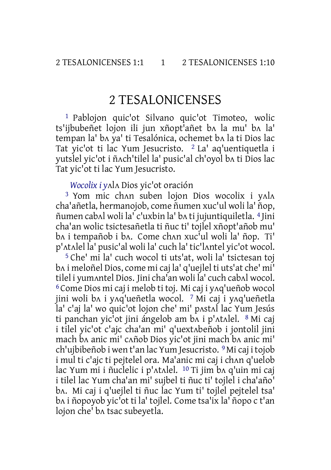# 2 TESALONICENSES

1 Pablojon quic'ot Silvano quic'ot Timoteo, wolic ts'ijbubeñet lojon ili jun xñopt'añet bʌ la mu' bʌ la' tempan la' bʌ ya' ti Tesalónica, ochemet bʌ la ti Dios lac Tat yic'ot ti lac Yum Jesucristo. 2 La' aq'uentiquetla i yutslel yic'ot i ñʌch'tilel la' pusic'al ch'oyol bʌ ti Dios lac Tat yic'ot ti lac Yum Jesucristo.

### *Wocolix i y*ʌlʌ Dios yic'ot oración

<sup>3</sup> Yom mic chan suben lojon Dios wocolix i yala cha'añetla, hermanojob, come ñumen xuc'ul woli la' ñop, ñumen cabʌl woli la' c'uxbin la' bʌ ti jujuntiquiletla. 4 Jini cha'an wolic tsictesañetla ti ñuc ti' tojlel xñopt'añob mu' bʌ i tempañob i bʌ. Come chʌn xuc'ul woli la' ñop. Ti' p'ʌtʌlel la' pusic'al woli la' cuch la' tic'lʌntel yic'ot wocol.

5 Che' mi la' cuch wocol ti uts'at, woli la' tsictesan toj bʌ i meloñel Dios, come mi caj la' q'uejlel ti uts'at che' mi' tilel i yumʌntel Dios. Jini cha'an woli la' cuch cabʌl wocol. 6 Come Dios mi caj i melob ti toj. Mi caj i yʌq'ueñob wocol jini woli bʌ i yʌq'ueñetla wocol. 7 Mi caj i yʌq'ueñetla la' c'aj la' wo quic'ot lojon che' mi' pʌstʌl lac Yum Jesús ti panchan yic'ot jini ángelob am bʌ i p'ʌtʌlel. 8 Mi caj i tilel yic'ot c'ajc cha'an mi' q'uextʌbeñob i jontolil jini mach bʌ anic mi' cʌñob Dios yic'ot jini mach bʌ anic mi' ch'ujbibeñob i wen t'an lac Yum Jesucristo. 9Mi caj i tojob i mul ti c'ajc ti pejtelel ora. Ma'anic mi caj i chan q'uelob lac Yum mi i ñuclelic i p'ʌtʌlel. 10 Ti jim bʌ q'uin mi caj i tilel lac Yum cha'an mi' sujbel ti ñuc ti' tojlel i cha'año' bʌ. Mi caj i q'uejlel ti ñuc lac Yum ti' tojlel pejtelel tsa' bʌ i ñopoyob yic'ot ti la' tojlel. Come tsa'ix la' ñopo c t'an lojon che' bʌ tsac subeyetla.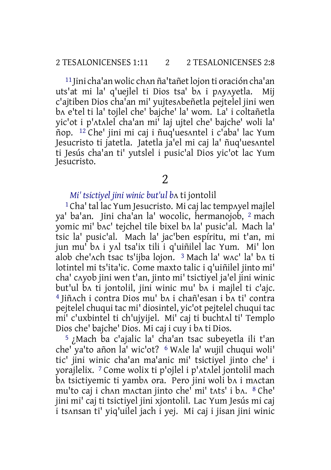11 Jini cha'an wolic chʌn ña'tañetlojon ti oración cha'an uts'at mi la' q'uejlel ti Dios tsa' bʌ i pʌyʌyetla. Mij c'ajtiben Dios cha'an mi' yujtesʌbeñetla pejtelel jini wen bʌ e'tel ti la' tojlel che' bajche' la' wom. La' i coltañetla yic'ot i p'ʌtʌlel cha'an mi' laj ujtel che' bajche' woli la' ñop. 12 Che' jini mi caj i ñuq'uesʌntel i c'aba' lac Yum Jesucristo ti jatetla. Jatetla ja'el mi caj la' ñuq'uesʌntel ti Jesús cha'an ti' yutslel i pusic'al Dios yic'ot lac Yum Jesucristo.

2

## *Mi' tsictiyel jini winic but'ul b*ʌ ti jontolil

1 Cha' tal lac Yum Jesucristo. Mi caj lac tempʌyel majlel ya' ba'an. Jini cha'an la' wocolic, hermanojob, 2 mach yomic mi' bʌc' tejchel tile bixel bʌ la' pusic'al. Mach la' tsic la' pusic'al. Mach la' jac'ben espíritu, mi t'an, mi jun mu' bʌ i yʌl tsa'ix tili i q'uiñilel lac Yum. Mi' lon alob che'ʌch tsac ts'ijba lojon. 3 Mach la' wʌc' la' bʌ ti lotintel mi ts'ita'ic. Come maxto talic i q'uiñilel jinto mi' cha' cʌyob jini wen t'an, jinto mi' tsictiyel ja'el jini winic but'ul bʌ ti jontolil, jini winic mu' bʌ i majlel ti c'ajc. 4 Jiñʌch i contra Dios mu' bʌ i chañ'esan i bʌ ti' contra pejtelel chuqui tac mi' diosintel, yic'ot pejtelel chuqui tac mi' c'uxbintel ti ch'ujyijel. Mi' caj ti buchtʌl ti' Templo Dios che' bajche' Dios. Mi caj i cuy i bʌ ti Dios.

5 ¿Mach ba c'ajalic la' cha'an tsac subeyetla ili t'an che' ya'to añon la' wic'ot? 6 Wʌle la' wujil chuqui woli' tic' jini winic cha'an ma'anic mi' tsictiyel jinto che' i yorajlelix. 7 Come wolix ti p'ojlel i p'ʌtʌlel jontolil mach bʌ tsictiyemic ti yambʌ ora. Pero jini woli bʌ i mʌctan mu'to caj i chʌn mʌctan jinto che' mi' tʌts' i bʌ. 8 Che' jini mi' caj ti tsictiyel jini xjontolil. Lac Yum Jesús mi caj i tsʌnsan ti' yiq'uilel jach i yej. Mi caj i jisan jini winic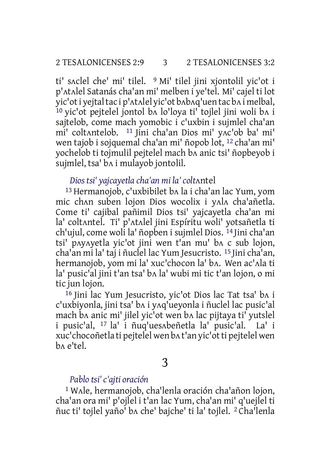ti' sʌclel che' mi' tilel. 9 Mi' tilel jini xjontolil yic'ot i p'ʌtʌlel Satanás cha'an mi' melben i ye'tel. Mi' cajel ti lot yic'oti yejtaltac i p'ʌtʌlel yic'ot bʌbʌq'uen tac bʌ i melbal, 10 yic'ot pejtelel jontol bʌ lo'loya ti' tojlel jini woli bʌ i sajtelob, come mach yomobic i c'uxbin i sujmlel cha'an mi' coltʌntelob. 11 Jini cha'an Dios mi' yʌc'ob ba' mi' wen tajob i sojquemal cha'an mi' ñopob lot, 12 cha'an mi' yochelob ti tojmulil pejtelel mach bʌ anic tsi' ñopbeyob i sujmlel, tsa' bʌ i mulayob jontolil.

*Dios tsi' yajcayetla cha'an mi la' colt*ʌntel

13 Hermanojob, c'uxbibilet bʌ la i cha'an lac Yum, yom mic chan suben lojon Dios wocolix i yala cha'añetla. Come ti' cajibal pañimil Dios tsi' yajcayetla cha'an mi la' coltʌntel. Ti' p'ʌtʌlel jini Espíritu woli' yotsañetla ti ch'ujul, come woli la' ñopben i sujmlel Dios. 14 Jini cha'an tsi' pʌyʌyetla yic'ot jini wen t'an mu' bʌ c sub lojon, cha'an mi la' taj i ñuclel lac Yum Jesucristo. 15 Jini cha'an, hermanojob, yom mi la' xuc'chocon la' bʌ. Wen ac'ʌla ti la' pusic'al jini t'an tsa' bʌ la' wubi mi tic t'an lojon, o mi tic jun lojon.

16 Jini lac Yum Jesucristo, yic'ot Dios lac Tat tsa' bʌ i c'uxbiyonla, jini tsa' bʌ i yʌq'ueyonla i ñuclel lac pusic'al mach ba anic mi' jilel yic'ot wen ba lac pijtaya ti' yutslel i pusic'al, 17 la' i ñuq'uesʌbeñetla la' pusic'al. La' i xuc'chocoñetla ti pejtelel wen bʌ t'an yic'otti pejtelel wen bʌ e'tel.

3

### *Pablo tsi' c'ajti oración*

1 Wʌle, hermanojob, cha'lenla oración cha'añon lojon, cha'an ora mi' p'ojlel i t'an lac Yum, cha'an mi' q'uejlel ti ñuc ti' tojlel yaño' bʌ che' bajche' ti la' tojlel. 2 Cha'lenla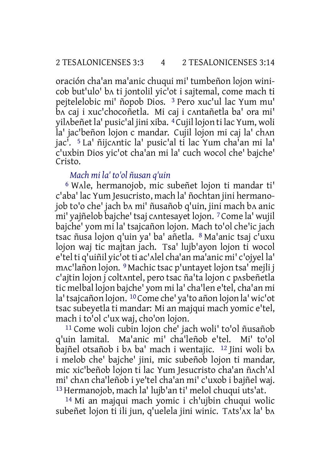oración cha'an ma'anic chuqui mi' tumbeñon lojon winicob but'ulo' bʌ ti jontolil yic'ot i sajtemal, come mach ti pejtelelobic mi' ñopob Dios. 3 Pero xuc'ul lac Yum mu' bʌ caj i xuc'chocoñetla. Mi caj i cʌntañetla ba' ora mi' yilʌbeñetla' pusic'al jini xiba. 4Cujil lojon ti lac Yum, woli la' jac'beñon lojon c mandar. Cujil lojon mi caj la' ch^n jac'. 5 La' ñijcʌntic la' pusic'al ti lac Yum cha'an mi la' c'uxbin Dios yic'ot cha'an mi la' cuch wocol che' bajche' Cristo.

## *Mach mi la' to'ol ñusan q'uin*

6 Wʌle, hermanojob, mic subeñet lojon ti mandar ti' c'aba' lac Yum Jesucristo, mach la' ñochtan jini hermanojob to'o che' jach bʌ mi' ñusañob q'uin, jini mach bʌ anic mi' yajñelob bajche' tsaj cʌntesayet lojon. 7Come la' wujil bajche' yom mi la' tsajcañon lojon. Mach to'ol che'ic jach tsac ñusa lojon q'uin ya' ba' añetla. 8 Ma'anic tsaj c'uxu lojon waj tic majtan jach. Tsa' lujb'ayon lojon ti wocol e'tel ti q'uiñil yic'ot ti ac'ʌlel cha'an ma'anic mi' c'ojyel la' mʌc'lañon lojon. 9 Machic tsac p'untayet lojon tsa' mejli j c'ajtin lojon j coltʌntel, pero tsac ña'ta lojon c pʌsbeñetla tic melbal lojon bajche' yom mi la' cha'len e'tel, cha'an mi la'tsajcañon lojon. 10Come che' ya'to añon lojon la' wic'ot tsac subeyetla ti mandar: Mi an majqui mach yomic e'tel, mach i to'ol c'ux waj, cho'on lojon.

11 Come woli cubin lojon che' jach woli' to'ol ñusañob q'uin lamital. Ma'anic mi' cha'leñob e'tel. Mi' to'ol bajñel otsañob i bʌ ba' mach i wentajic. 12 Jini woli bʌ i melob che' bajche' jini, mic subeñob lojon ti mandar, mic xic'beñob lojon ti lac Yum Jesucristo cha'an ñʌch'ʌl mi' chʌn cha'leñob i ye'tel cha'an mi' c'uxob i bajñel waj. 13 Hermanojob, mach la' lujb'an ti' melol chuqui uts'at.

14 Mi an majqui mach yomic i ch'ujbin chuqui wolic subeñet lojon ti ili jun, q'uelela jini winic. Tats'ax la' ba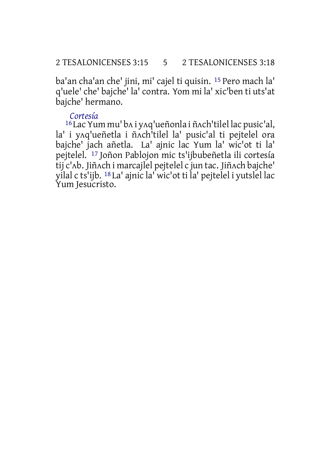ba'an cha'an che' jini, mi' cajel ti quisin. 15 Pero mach la' q'uele' che' bajche' la' contra. Yom mi la' xic'ben ti uts'at bajche' hermano.

## *Cortesía*

16 Lac Yum mu' bʌ i yʌq'ueñonla i ñʌch'tilel lac pusic'al, la' i yʌq'ueñetla i ñʌch'tilel la' pusic'al ti pejtelel ora bajche' jach añetla. La' ajnic lac Yum la' wic'ot ti la' pejtelel. 17 Joñon Pablojon mic ts'ijbubeñetla ili cortesía tij c'ʌb. Jiñʌch i marcajlel pejtelel c jun tac. Jiñʌch bajche' yilal c ts'ijb. 18 La' ajnic la' wic'ot ti la' pejtelel i yutslel lac Yum Jesucristo.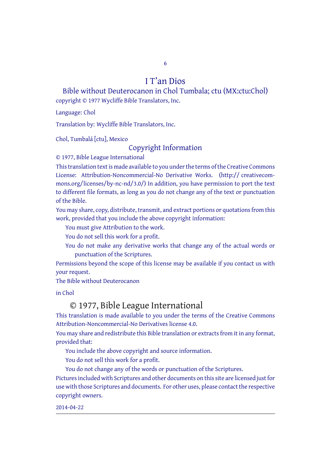6

## I T'an Dios

Bible without Deuterocanon in Chol Tumbala; ctu (MX:ctu:Chol) copyright © 1977 Wycliffe Bible Translators, Inc.

Language: Chol

Translation by: Wycliffe Bible Translators, Inc.

Chol, Tumbalá [ctu], Mexico

#### Copyright Information

© 1977, Bible League International

This translation text is made available to you under the terms of the Creative [Commons](http://creativecommons.org/licenses/by-nc-nd/4.0/) License: Attribution-Noncommercial-No Derivative Works. (http:// creativecommons.org/licenses/by-nc-nd/3.0/) In addition, you have permission to port the text to different file formats, as long as you do not change any of the text or punctuation of the Bible.

You may share, copy, distribute, transmit, and extract portions or quotations from this work, provided that you include the above copyright information:

You must give Attribution to the work.

You do not sell this work for a profit.

You do not make any derivative works that change any of the actual words or punctuation of the Scriptures.

Permissions beyond the scope of this license may be available if you contact us with your request.

The Bible without Deuterocanon

in Chol

## © 1977, Bible League International

This translation is made available to you under the terms of the Creative Commons Attribution-Noncommercial-No Derivatives license 4.0.

You may share and redistribute this Bible translation or extracts from it in any format, provided that:

You include the above copyright and source information.

You do not sell this work for a profit.

You do not change any of the words or punctuation of the Scriptures.

Pictures included with Scriptures and other documents on this site are licensed just for use with those Scriptures and documents. For other uses, please contact the respective copyright owners.

2014-04-22